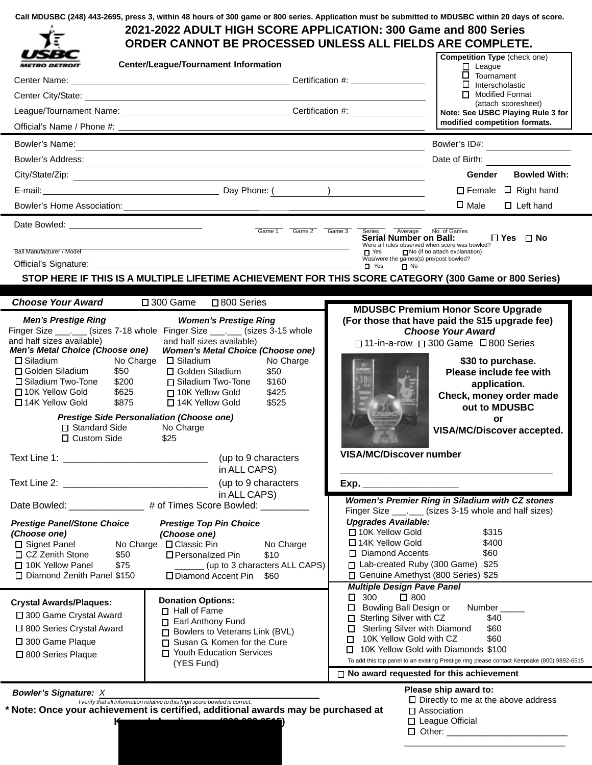|  |  |  | Call MDUSBC (248) 443-2695, press 3, within 48 hours of 300 game or 800 series. Application must be submitted to MDUSBC within 20 days of score. |
|--|--|--|--------------------------------------------------------------------------------------------------------------------------------------------------|
|--|--|--|--------------------------------------------------------------------------------------------------------------------------------------------------|

|                                                                                                                                                                                                                                                                                                                                                                                                                                                                                                                                                                                                                                                                                                                                                                                             |                                                                                                                                                                                                                                                                                                                                                                                                                                                                                                                                                                                                                                                                                                     | 2021-2022 ADULT HIGH SCORE APPLICATION: 300 Game and 800 Series<br>ORDER CANNOT BE PROCESSED UNLESS ALL FIELDS ARE COMPLETE.                                                                                                                                                                                                                                                                                                                                                                                                                                                                                                                                                                         |  |
|---------------------------------------------------------------------------------------------------------------------------------------------------------------------------------------------------------------------------------------------------------------------------------------------------------------------------------------------------------------------------------------------------------------------------------------------------------------------------------------------------------------------------------------------------------------------------------------------------------------------------------------------------------------------------------------------------------------------------------------------------------------------------------------------|-----------------------------------------------------------------------------------------------------------------------------------------------------------------------------------------------------------------------------------------------------------------------------------------------------------------------------------------------------------------------------------------------------------------------------------------------------------------------------------------------------------------------------------------------------------------------------------------------------------------------------------------------------------------------------------------------------|------------------------------------------------------------------------------------------------------------------------------------------------------------------------------------------------------------------------------------------------------------------------------------------------------------------------------------------------------------------------------------------------------------------------------------------------------------------------------------------------------------------------------------------------------------------------------------------------------------------------------------------------------------------------------------------------------|--|
| <i><b>METRO DETROIT</b></i>                                                                                                                                                                                                                                                                                                                                                                                                                                                                                                                                                                                                                                                                                                                                                                 | <b>Center/League/Tournament Information</b>                                                                                                                                                                                                                                                                                                                                                                                                                                                                                                                                                                                                                                                         | <b>Competition Type (check one)</b><br>$\Box$ League                                                                                                                                                                                                                                                                                                                                                                                                                                                                                                                                                                                                                                                 |  |
| Center Name:                                                                                                                                                                                                                                                                                                                                                                                                                                                                                                                                                                                                                                                                                                                                                                                |                                                                                                                                                                                                                                                                                                                                                                                                                                                                                                                                                                                                                                                                                                     | $\square$ Tournament                                                                                                                                                                                                                                                                                                                                                                                                                                                                                                                                                                                                                                                                                 |  |
|                                                                                                                                                                                                                                                                                                                                                                                                                                                                                                                                                                                                                                                                                                                                                                                             |                                                                                                                                                                                                                                                                                                                                                                                                                                                                                                                                                                                                                                                                                                     | $\Box$ Interscholastic<br>Modified Format                                                                                                                                                                                                                                                                                                                                                                                                                                                                                                                                                                                                                                                            |  |
|                                                                                                                                                                                                                                                                                                                                                                                                                                                                                                                                                                                                                                                                                                                                                                                             |                                                                                                                                                                                                                                                                                                                                                                                                                                                                                                                                                                                                                                                                                                     | (attach scoresheet)<br>Note: See USBC Playing Rule 3 for                                                                                                                                                                                                                                                                                                                                                                                                                                                                                                                                                                                                                                             |  |
|                                                                                                                                                                                                                                                                                                                                                                                                                                                                                                                                                                                                                                                                                                                                                                                             |                                                                                                                                                                                                                                                                                                                                                                                                                                                                                                                                                                                                                                                                                                     | modified competition formats.                                                                                                                                                                                                                                                                                                                                                                                                                                                                                                                                                                                                                                                                        |  |
|                                                                                                                                                                                                                                                                                                                                                                                                                                                                                                                                                                                                                                                                                                                                                                                             |                                                                                                                                                                                                                                                                                                                                                                                                                                                                                                                                                                                                                                                                                                     |                                                                                                                                                                                                                                                                                                                                                                                                                                                                                                                                                                                                                                                                                                      |  |
|                                                                                                                                                                                                                                                                                                                                                                                                                                                                                                                                                                                                                                                                                                                                                                                             | Bowler's Name: <u>Contract Communications and Communications and Communications and Communications and Communications</u>                                                                                                                                                                                                                                                                                                                                                                                                                                                                                                                                                                           | Bowler's ID#: ____________________<br>Date of Birth: Note of Birth:                                                                                                                                                                                                                                                                                                                                                                                                                                                                                                                                                                                                                                  |  |
|                                                                                                                                                                                                                                                                                                                                                                                                                                                                                                                                                                                                                                                                                                                                                                                             | Bowler's Address: New York States and States and States and States and States and States and States and States and States and States and States and States and States and States and States and States and States and States a                                                                                                                                                                                                                                                                                                                                                                                                                                                                      | <b>Bowled With:</b><br>Gender                                                                                                                                                                                                                                                                                                                                                                                                                                                                                                                                                                                                                                                                        |  |
|                                                                                                                                                                                                                                                                                                                                                                                                                                                                                                                                                                                                                                                                                                                                                                                             |                                                                                                                                                                                                                                                                                                                                                                                                                                                                                                                                                                                                                                                                                                     | $\Box$ Female $\Box$ Right hand                                                                                                                                                                                                                                                                                                                                                                                                                                                                                                                                                                                                                                                                      |  |
|                                                                                                                                                                                                                                                                                                                                                                                                                                                                                                                                                                                                                                                                                                                                                                                             |                                                                                                                                                                                                                                                                                                                                                                                                                                                                                                                                                                                                                                                                                                     | $\square$ Male<br>$\Box$ Left hand                                                                                                                                                                                                                                                                                                                                                                                                                                                                                                                                                                                                                                                                   |  |
|                                                                                                                                                                                                                                                                                                                                                                                                                                                                                                                                                                                                                                                                                                                                                                                             |                                                                                                                                                                                                                                                                                                                                                                                                                                                                                                                                                                                                                                                                                                     |                                                                                                                                                                                                                                                                                                                                                                                                                                                                                                                                                                                                                                                                                                      |  |
| Ball Manufacturer / Model                                                                                                                                                                                                                                                                                                                                                                                                                                                                                                                                                                                                                                                                                                                                                                   | $\overline{Game 1}$ $\overline{Game 2}$ $\overline{Game 3}$<br><u> 1989 - Johann Barn, mars eta bainar eta idazlea (</u>                                                                                                                                                                                                                                                                                                                                                                                                                                                                                                                                                                            | Average No. of Games<br>Series<br>$\Box$ Yes $\Box$ No<br>Serial Number on Ball:<br>Were all rules observed when score was bowled?<br>$\blacksquare$ Yes<br>No (if no attach explanation)<br>Was/were the games(s) pre/post bowled?<br>$\Box$ Yes<br>$\Box$ No<br>STOP HERE IF THIS IS A MULTIPLE LIFETIME ACHIEVEMENT FOR THIS SCORE CATEGORY (300 Game or 800 Series)                                                                                                                                                                                                                                                                                                                              |  |
|                                                                                                                                                                                                                                                                                                                                                                                                                                                                                                                                                                                                                                                                                                                                                                                             |                                                                                                                                                                                                                                                                                                                                                                                                                                                                                                                                                                                                                                                                                                     |                                                                                                                                                                                                                                                                                                                                                                                                                                                                                                                                                                                                                                                                                                      |  |
| <b>Choose Your Award</b>                                                                                                                                                                                                                                                                                                                                                                                                                                                                                                                                                                                                                                                                                                                                                                    | $\square$ 300 Game<br>□ 800 Series                                                                                                                                                                                                                                                                                                                                                                                                                                                                                                                                                                                                                                                                  | <b>MDUSBC Premium Honor Score Upgrade</b>                                                                                                                                                                                                                                                                                                                                                                                                                                                                                                                                                                                                                                                            |  |
| <b>Men's Prestige Ring</b><br>and half sizes available)<br>Men's Metal Choice (Choose one)<br>$\square$ Siladium<br>□ Golden Siladium<br>\$50<br>□ Siladium Two-Tone<br>\$200<br>□ 10K Yellow Gold<br>\$625<br>\$875<br>□ 14K Yellow Gold<br>□ Standard Side<br>□ Custom Side<br>Text Line 1: ________________________________<br>Text Line 2: The Secret Secret Secret Secret Secret Secret Secret Secret Secret Secret Secret Secret Secret Secret Secret Secret Secret Secret Secret Secret Secret Secret Secret Secret Secret Secret Secret Secret Secret Se<br>Date Bowled: ______________ # of Times Score Bowled:<br><b>Prestige Panel/Stone Choice</b><br>(Choose one)<br>□ Signet Panel<br>□ CZ Zenith Stone<br>\$50<br>□ 10K Yellow Panel<br>\$75<br>□ Diamond Zenith Panel \$150 | <b>Women's Prestige Ring</b><br>Finger Size _____ (sizes 7-18 whole Finger Size _____ (sizes 3-15 whole<br>and half sizes available)<br><b>Women's Metal Choice (Choose one)</b><br>No Charge $\Box$ Siladium<br>No Charge<br>□ Golden Siladium<br>\$50<br>□ Siladium Two-Tone<br>\$160<br>□ 10K Yellow Gold<br>\$425<br>□ 14K Yellow Gold<br>\$525<br><b>Prestige Side Personaliation (Choose one)</b><br>No Charge<br>\$25<br>(up to 9 characters<br>in ALL CAPS)<br>(up to 9 characters<br>in ALL CAPS)<br><b>Prestige Top Pin Choice</b><br>(Choose one)<br>No Charge □ Classic Pin<br>No Charge<br>\$10<br>□ Personalized Pin<br>(up to 3 characters ALL CAPS)<br>□ Diamond Accent Pin<br>\$60 | (For those that have paid the \$15 upgrade fee)<br><b>Choose Your Award</b><br>□ 11-in-a-row □ 300 Game □ 800 Series<br>\$30 to purchase.<br>Please include fee with<br>application.<br>Check, money order made<br>out to MDUSBC<br>or<br>VISA/MC/Discover accepted.<br>VISA/MC/Discover number<br>Exp.<br>Women's Premier Ring in Siladium with CZ stones<br>Finger Size _______ (sizes 3-15 whole and half sizes)<br><b>Upgrades Available:</b><br>□ 10K Yellow Gold<br>\$315<br>□ 14K Yellow Gold<br>\$400<br>$\Box$ Diamond Accents<br>\$60<br>□ Lab-created Ruby (300 Game) \$25<br>□ Genuine Amethyst (800 Series) \$25<br><b>Multiple Design Pave Panel</b><br>$\square$ 300<br>$\square$ 800 |  |
| <b>Crystal Awards/Plaques:</b><br>□ 300 Game Crystal Award<br>□ 800 Series Crystal Award<br>□ 300 Game Plaque<br>□ 800 Series Plaque                                                                                                                                                                                                                                                                                                                                                                                                                                                                                                                                                                                                                                                        | <b>Donation Options:</b><br>□ Hall of Fame<br>Earl Anthony Fund<br>□ Bowlers to Veterans Link (BVL)<br>□ Susan G. Komen for the Cure<br>□ Youth Education Services<br>(YES Fund)                                                                                                                                                                                                                                                                                                                                                                                                                                                                                                                    | Bowling Ball Design or<br>Number<br>□<br>Sterling Silver with CZ<br>\$40<br>□<br>□ Sterling Silver with Diamond<br>\$60<br>□ 10K Yellow Gold with CZ<br>\$60<br>□ 10K Yellow Gold with Diamonds \$100<br>To add this top panel to an existing Prestige ring please contact Keepsake (800) 9892-6515<br>□ No award requested for this achievement                                                                                                                                                                                                                                                                                                                                                     |  |
| <b>Bowler's Signature: X</b>                                                                                                                                                                                                                                                                                                                                                                                                                                                                                                                                                                                                                                                                                                                                                                |                                                                                                                                                                                                                                                                                                                                                                                                                                                                                                                                                                                                                                                                                                     | Please ship award to:                                                                                                                                                                                                                                                                                                                                                                                                                                                                                                                                                                                                                                                                                |  |
|                                                                                                                                                                                                                                                                                                                                                                                                                                                                                                                                                                                                                                                                                                                                                                                             | I verify that all information relative to this high score bowled is correct.<br>* Note: Once your achievement is certified, additional awards may be purchased at                                                                                                                                                                                                                                                                                                                                                                                                                                                                                                                                   | $\square$ Directly to me at the above address<br>□ Association<br>□ League Official<br>$\Box$ Other:                                                                                                                                                                                                                                                                                                                                                                                                                                                                                                                                                                                                 |  |

\_\_\_\_\_\_\_\_\_\_\_\_\_\_\_\_\_\_\_\_\_\_\_\_\_\_\_\_\_\_\_\_\_